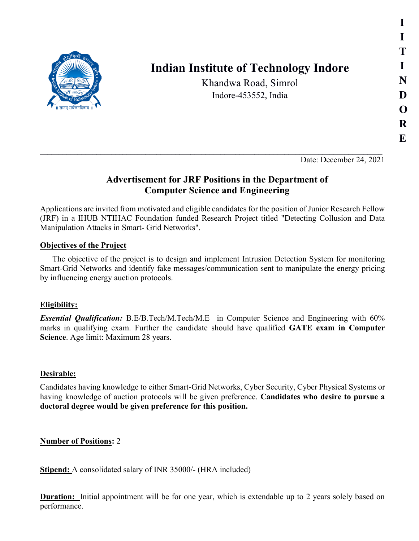

# **Indian Institute of Technology Indore**

Khandwa Road, Simrol Indore-453552, India

**I**

Date: December 24, 2021

## **Advertisement for JRF Positions in the Department of Computer Science and Engineering**

 $\mathcal{L}_\mathcal{L} = \mathcal{L}_\mathcal{L} = \mathcal{L}_\mathcal{L} = \mathcal{L}_\mathcal{L} = \mathcal{L}_\mathcal{L} = \mathcal{L}_\mathcal{L} = \mathcal{L}_\mathcal{L} = \mathcal{L}_\mathcal{L} = \mathcal{L}_\mathcal{L} = \mathcal{L}_\mathcal{L} = \mathcal{L}_\mathcal{L} = \mathcal{L}_\mathcal{L} = \mathcal{L}_\mathcal{L} = \mathcal{L}_\mathcal{L} = \mathcal{L}_\mathcal{L} = \mathcal{L}_\mathcal{L} = \mathcal{L}_\mathcal{L}$ 

Applications are invited from motivated and eligible candidates for the position of Junior Research Fellow (JRF) in a IHUB NTIHAC Foundation funded Research Project titled "Detecting Collusion and Data Manipulation Attacks in Smart- Grid Networks".

## **Objectives of the Project**

 The objective of the project is to design and implement Intrusion Detection System for monitoring Smart-Grid Networks and identify fake messages/communication sent to manipulate the energy pricing by influencing energy auction protocols.

### **Eligibility:**

*Essential Qualification:* B.E/B.Tech/M.Tech/M.E in Computer Science and Engineering with 60% marks in qualifying exam. Further the candidate should have qualified **GATE exam in Computer Science**. Age limit: Maximum 28 years.

## **Desirable:**

Candidates having knowledge to either Smart-Grid Networks, Cyber Security, Cyber Physical Systems or having knowledge of auction protocols will be given preference. **Candidates who desire to pursue a doctoral degree would be given preference for this position.**

## **Number of Positions:** 2

**Stipend:** A consolidated salary of INR 35000/- (HRA included)

**Duration:** Initial appointment will be for one year, which is extendable up to 2 years solely based on performance.